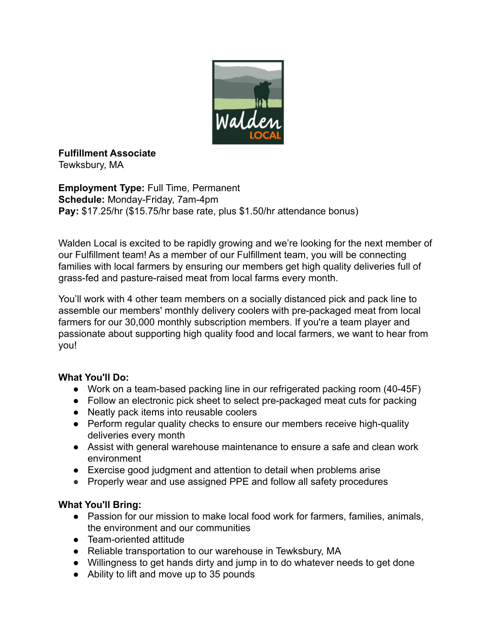

**Fulfillment Associate** Tewksbury, MA

**Employment Type:** Full Time, Permanent **Schedule:** Monday-Friday, 7am-4pm **Pay:** \$17.25/hr (\$15.75/hr base rate, plus \$1.50/hr attendance bonus)

Walden Local is excited to be rapidly growing and we're looking for the next member of our Fulfillment team! As a member of our Fulfillment team, you will be connecting families with local farmers by ensuring our members get high quality deliveries full of grass-fed and pasture-raised meat from local farms every month.

You'll work with 4 other team members on a socially distanced pick and pack line to assemble our members' monthly delivery coolers with pre-packaged meat from local farmers for our 30,000 monthly subscription members. If you're a team player and passionate about supporting high quality food and local farmers, we want to hear from you!

## **What You'll Do:**

- Work on a team-based packing line in our refrigerated packing room (40-45F)
- Follow an electronic pick sheet to select pre-packaged meat cuts for packing
- Neatly pack items into reusable coolers
- Perform regular quality checks to ensure our members receive high-quality deliveries every month
- Assist with general warehouse maintenance to ensure a safe and clean work environment
- Exercise good judgment and attention to detail when problems arise
- Properly wear and use assigned PPE and follow all safety procedures

## **What You'll Bring:**

- Passion for our mission to make local food work for farmers, families, animals, the environment and our communities
- Team-oriented attitude
- Reliable transportation to our warehouse in Tewksbury, MA
- Willingness to get hands dirty and jump in to do whatever needs to get done
- Ability to lift and move up to 35 pounds